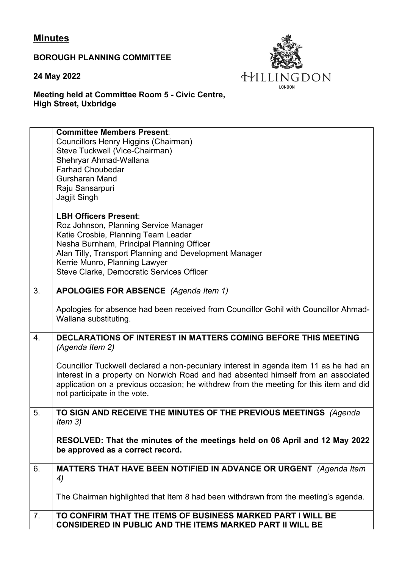## **Minutes**

**BOROUGH PLANNING COMMITTEE**

**24 May 2022**



**Meeting held at Committee Room 5 - Civic Centre, High Street, Uxbridge**

|                | <b>Committee Members Present:</b><br>Councillors Henry Higgins (Chairman)<br>Steve Tuckwell (Vice-Chairman)<br>Shehryar Ahmad-Wallana<br><b>Farhad Choubedar</b><br><b>Gursharan Mand</b><br>Raju Sansarpuri<br>Jagjit Singh                                                                         |
|----------------|------------------------------------------------------------------------------------------------------------------------------------------------------------------------------------------------------------------------------------------------------------------------------------------------------|
|                | <b>LBH Officers Present:</b><br>Roz Johnson, Planning Service Manager<br>Katie Crosbie, Planning Team Leader<br>Nesha Burnham, Principal Planning Officer<br>Alan Tilly, Transport Planning and Development Manager<br>Kerrie Munro, Planning Lawyer<br>Steve Clarke, Democratic Services Officer    |
| 3.             | APOLOGIES FOR ABSENCE (Agenda Item 1)                                                                                                                                                                                                                                                                |
|                | Apologies for absence had been received from Councillor Gohil with Councillor Ahmad-<br>Wallana substituting.                                                                                                                                                                                        |
| 4.             | DECLARATIONS OF INTEREST IN MATTERS COMING BEFORE THIS MEETING<br>(Agenda Item 2)                                                                                                                                                                                                                    |
|                | Councillor Tuckwell declared a non-pecuniary interest in agenda item 11 as he had an<br>interest in a property on Norwich Road and had absented himself from an associated<br>application on a previous occasion; he withdrew from the meeting for this item and did<br>not participate in the vote. |
| 5.             | TO SIGN AND RECEIVE THE MINUTES OF THE PREVIOUS MEETINGS (Agenda<br>Item $3)$                                                                                                                                                                                                                        |
|                | RESOLVED: That the minutes of the meetings held on 06 April and 12 May 2022<br>be approved as a correct record.                                                                                                                                                                                      |
| 6.             | MATTERS THAT HAVE BEEN NOTIFIED IN ADVANCE OR URGENT (Agenda Item<br>4)                                                                                                                                                                                                                              |
|                | The Chairman highlighted that Item 8 had been withdrawn from the meeting's agenda.                                                                                                                                                                                                                   |
| 7 <sub>1</sub> | TO CONFIRM THAT THE ITEMS OF BUSINESS MARKED PART I WILL BE<br><b>CONSIDERED IN PUBLIC AND THE ITEMS MARKED PART II WILL BE</b>                                                                                                                                                                      |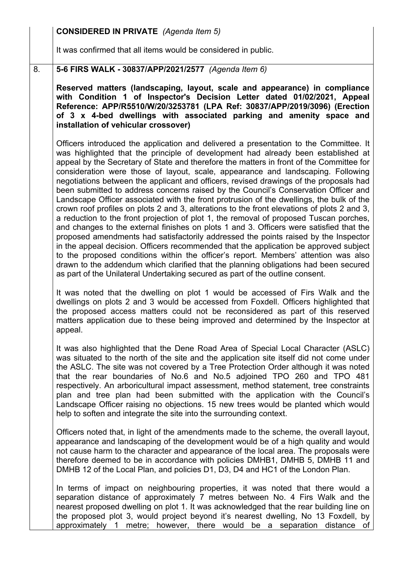|    | <b>CONSIDERED IN PRIVATE</b> (Agenda Item 5)                                                                                                                                                                                                                                                                                                                                                                                                                                                                                                                                                                                                                                                                                                                                                                                                                                                                                                                                                                                                                                                                                                                                                                                                                                                                                                                                |
|----|-----------------------------------------------------------------------------------------------------------------------------------------------------------------------------------------------------------------------------------------------------------------------------------------------------------------------------------------------------------------------------------------------------------------------------------------------------------------------------------------------------------------------------------------------------------------------------------------------------------------------------------------------------------------------------------------------------------------------------------------------------------------------------------------------------------------------------------------------------------------------------------------------------------------------------------------------------------------------------------------------------------------------------------------------------------------------------------------------------------------------------------------------------------------------------------------------------------------------------------------------------------------------------------------------------------------------------------------------------------------------------|
|    | It was confirmed that all items would be considered in public.                                                                                                                                                                                                                                                                                                                                                                                                                                                                                                                                                                                                                                                                                                                                                                                                                                                                                                                                                                                                                                                                                                                                                                                                                                                                                                              |
| 8. | 5-6 FIRS WALK - 30837/APP/2021/2577 (Agenda Item 6)                                                                                                                                                                                                                                                                                                                                                                                                                                                                                                                                                                                                                                                                                                                                                                                                                                                                                                                                                                                                                                                                                                                                                                                                                                                                                                                         |
|    | Reserved matters (landscaping, layout, scale and appearance) in compliance<br>with Condition 1 of Inspector's Decision Letter dated 01/02/2021, Appeal<br>Reference: APP/R5510/W/20/3253781 (LPA Ref: 30837/APP/2019/3096) (Erection<br>of 3 x 4-bed dwellings with associated parking and amenity space and<br>installation of vehicular crossover)                                                                                                                                                                                                                                                                                                                                                                                                                                                                                                                                                                                                                                                                                                                                                                                                                                                                                                                                                                                                                        |
|    | Officers introduced the application and delivered a presentation to the Committee. It<br>was highlighted that the principle of development had already been established at<br>appeal by the Secretary of State and therefore the matters in front of the Committee for<br>consideration were those of layout, scale, appearance and landscaping. Following<br>negotiations between the applicant and officers, revised drawings of the proposals had<br>been submitted to address concerns raised by the Council's Conservation Officer and<br>Landscape Officer associated with the front protrusion of the dwellings, the bulk of the<br>crown roof profiles on plots 2 and 3, alterations to the front elevations of plots 2 and 3,<br>a reduction to the front projection of plot 1, the removal of proposed Tuscan porches,<br>and changes to the external finishes on plots 1 and 3. Officers were satisfied that the<br>proposed amendments had satisfactorily addressed the points raised by the Inspector<br>in the appeal decision. Officers recommended that the application be approved subject<br>to the proposed conditions within the officer's report. Members' attention was also<br>drawn to the addendum which clarified that the planning obligations had been secured<br>as part of the Unilateral Undertaking secured as part of the outline consent. |
|    | It was noted that the dwelling on plot 1 would be accessed of Firs Walk and the<br>dwellings on plots 2 and 3 would be accessed from Foxdell. Officers highlighted that<br>the proposed access matters could not be reconsidered as part of this reserved<br>matters application due to these being improved and determined by the Inspector at<br>appeal.                                                                                                                                                                                                                                                                                                                                                                                                                                                                                                                                                                                                                                                                                                                                                                                                                                                                                                                                                                                                                  |
|    | It was also highlighted that the Dene Road Area of Special Local Character (ASLC)<br>was situated to the north of the site and the application site itself did not come under<br>the ASLC. The site was not covered by a Tree Protection Order although it was noted<br>that the rear boundaries of No.6 and No.5 adjoined TPO 260 and TPO 481<br>respectively. An arboricultural impact assessment, method statement, tree constraints<br>plan and tree plan had been submitted with the application with the Council's<br>Landscape Officer raising no objections. 15 new trees would be planted which would<br>help to soften and integrate the site into the surrounding context.                                                                                                                                                                                                                                                                                                                                                                                                                                                                                                                                                                                                                                                                                       |
|    | Officers noted that, in light of the amendments made to the scheme, the overall layout,<br>appearance and landscaping of the development would be of a high quality and would<br>not cause harm to the character and appearance of the local area. The proposals were<br>therefore deemed to be in accordance with policies DMHB1, DMHB 5, DMHB 11 and<br>DMHB 12 of the Local Plan, and policies D1, D3, D4 and HC1 of the London Plan.                                                                                                                                                                                                                                                                                                                                                                                                                                                                                                                                                                                                                                                                                                                                                                                                                                                                                                                                    |
|    | In terms of impact on neighbouring properties, it was noted that there would a<br>separation distance of approximately 7 metres between No. 4 Firs Walk and the<br>nearest proposed dwelling on plot 1. It was acknowledged that the rear building line on<br>the proposed plot 3, would project beyond it's nearest dwelling, No 13 Foxdell, by<br>approximately 1 metre; however, there would be a separation distance of                                                                                                                                                                                                                                                                                                                                                                                                                                                                                                                                                                                                                                                                                                                                                                                                                                                                                                                                                 |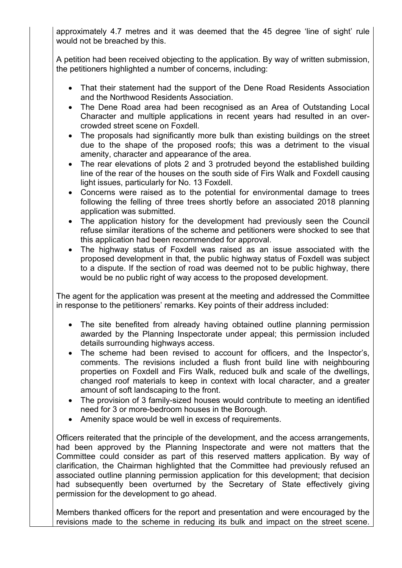approximately 4.7 metres and it was deemed that the 45 degree 'line of sight' rule would not be breached by this.

A petition had been received objecting to the application. By way of written submission, the petitioners highlighted a number of concerns, including:

- That their statement had the support of the Dene Road Residents Association and the Northwood Residents Association.
- The Dene Road area had been recognised as an Area of Outstanding Local Character and multiple applications in recent years had resulted in an overcrowded street scene on Foxdell.
- The proposals had significantly more bulk than existing buildings on the street due to the shape of the proposed roofs; this was a detriment to the visual amenity, character and appearance of the area.
- The rear elevations of plots 2 and 3 protruded beyond the established building line of the rear of the houses on the south side of Firs Walk and Foxdell causing light issues, particularly for No. 13 Foxdell.
- Concerns were raised as to the potential for environmental damage to trees following the felling of three trees shortly before an associated 2018 planning application was submitted.
- The application history for the development had previously seen the Council refuse similar iterations of the scheme and petitioners were shocked to see that this application had been recommended for approval.
- The highway status of Foxdell was raised as an issue associated with the proposed development in that, the public highway status of Foxdell was subject to a dispute. If the section of road was deemed not to be public highway, there would be no public right of way access to the proposed development.

The agent for the application was present at the meeting and addressed the Committee in response to the petitioners' remarks. Key points of their address included:

- The site benefited from already having obtained outline planning permission awarded by the Planning Inspectorate under appeal; this permission included details surrounding highways access.
- The scheme had been revised to account for officers, and the Inspector's, comments. The revisions included a flush front build line with neighbouring properties on Foxdell and Firs Walk, reduced bulk and scale of the dwellings, changed roof materials to keep in context with local character, and a greater amount of soft landscaping to the front.
- The provision of 3 family-sized houses would contribute to meeting an identified need for 3 or more-bedroom houses in the Borough.
- Amenity space would be well in excess of requirements.

Officers reiterated that the principle of the development, and the access arrangements, had been approved by the Planning Inspectorate and were not matters that the Committee could consider as part of this reserved matters application. By way of clarification, the Chairman highlighted that the Committee had previously refused an associated outline planning permission application for this development; that decision had subsequently been overturned by the Secretary of State effectively giving permission for the development to go ahead.

Members thanked officers for the report and presentation and were encouraged by the revisions made to the scheme in reducing its bulk and impact on the street scene.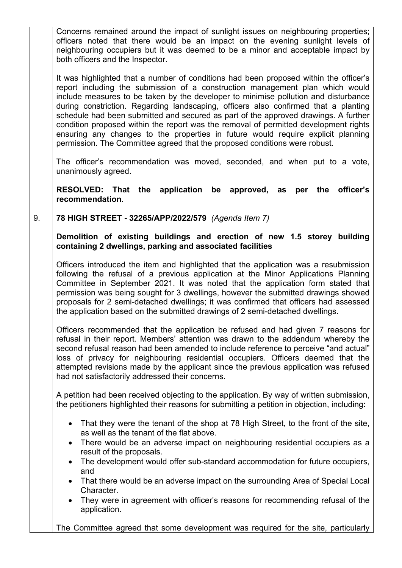|    | Concerns remained around the impact of sunlight issues on neighbouring properties;<br>officers noted that there would be an impact on the evening sunlight levels of<br>neighbouring occupiers but it was deemed to be a minor and acceptable impact by<br>both officers and the Inspector.                                                                                                                                                                                                                                                                                                                                                                                                           |
|----|-------------------------------------------------------------------------------------------------------------------------------------------------------------------------------------------------------------------------------------------------------------------------------------------------------------------------------------------------------------------------------------------------------------------------------------------------------------------------------------------------------------------------------------------------------------------------------------------------------------------------------------------------------------------------------------------------------|
|    | It was highlighted that a number of conditions had been proposed within the officer's<br>report including the submission of a construction management plan which would<br>include measures to be taken by the developer to minimise pollution and disturbance<br>during constriction. Regarding landscaping, officers also confirmed that a planting<br>schedule had been submitted and secured as part of the approved drawings. A further<br>condition proposed within the report was the removal of permitted development rights<br>ensuring any changes to the properties in future would require explicit planning<br>permission. The Committee agreed that the proposed conditions were robust. |
|    | The officer's recommendation was moved, seconded, and when put to a vote,<br>unanimously agreed.                                                                                                                                                                                                                                                                                                                                                                                                                                                                                                                                                                                                      |
|    | RESOLVED: That the application be approved, as<br>officer's<br>per the<br>recommendation.                                                                                                                                                                                                                                                                                                                                                                                                                                                                                                                                                                                                             |
| 9. | 78 HIGH STREET - 32265/APP/2022/579 (Agenda Item 7)                                                                                                                                                                                                                                                                                                                                                                                                                                                                                                                                                                                                                                                   |
|    | Demolition of existing buildings and erection of new 1.5 storey building<br>containing 2 dwellings, parking and associated facilities                                                                                                                                                                                                                                                                                                                                                                                                                                                                                                                                                                 |
|    |                                                                                                                                                                                                                                                                                                                                                                                                                                                                                                                                                                                                                                                                                                       |
|    | Officers introduced the item and highlighted that the application was a resubmission<br>following the refusal of a previous application at the Minor Applications Planning<br>Committee in September 2021. It was noted that the application form stated that<br>permission was being sought for 3 dwellings, however the submitted drawings showed<br>proposals for 2 semi-detached dwellings; it was confirmed that officers had assessed<br>the application based on the submitted drawings of 2 semi-detached dwellings.                                                                                                                                                                          |
|    | Officers recommended that the application be refused and had given 7 reasons for<br>refusal in their report. Members' attention was drawn to the addendum whereby the<br>second refusal reason had been amended to include reference to perceive "and actual"<br>loss of privacy for neighbouring residential occupiers. Officers deemed that the<br>attempted revisions made by the applicant since the previous application was refused<br>had not satisfactorily addressed their concerns.                                                                                                                                                                                                         |
|    | A petition had been received objecting to the application. By way of written submission,<br>the petitioners highlighted their reasons for submitting a petition in objection, including:                                                                                                                                                                                                                                                                                                                                                                                                                                                                                                              |
|    | That they were the tenant of the shop at 78 High Street, to the front of the site,<br>as well as the tenant of the flat above.<br>There would be an adverse impact on neighbouring residential occupiers as a<br>$\bullet$                                                                                                                                                                                                                                                                                                                                                                                                                                                                            |
|    | result of the proposals.<br>The development would offer sub-standard accommodation for future occupiers,<br>$\bullet$                                                                                                                                                                                                                                                                                                                                                                                                                                                                                                                                                                                 |
|    | and                                                                                                                                                                                                                                                                                                                                                                                                                                                                                                                                                                                                                                                                                                   |
|    | That there would be an adverse impact on the surrounding Area of Special Local<br>$\bullet$<br>Character.                                                                                                                                                                                                                                                                                                                                                                                                                                                                                                                                                                                             |
|    | They were in agreement with officer's reasons for recommending refusal of the<br>$\bullet$<br>application.                                                                                                                                                                                                                                                                                                                                                                                                                                                                                                                                                                                            |
|    | The Committee agreed that some development was required for the site, particularly                                                                                                                                                                                                                                                                                                                                                                                                                                                                                                                                                                                                                    |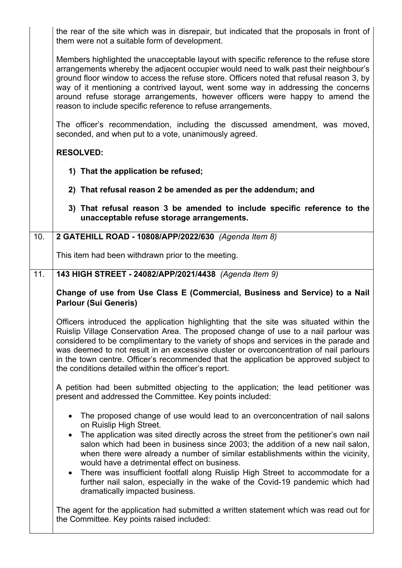the rear of the site which was in disrepair, but indicated that the proposals in front of them were not a suitable form of development.

Members highlighted the unacceptable layout with specific reference to the refuse store arrangements whereby the adjacent occupier would need to walk past their neighbour's ground floor window to access the refuse store. Officers noted that refusal reason 3, by way of it mentioning a contrived layout, went some way in addressing the concerns around refuse storage arrangements, however officers were happy to amend the reason to include specific reference to refuse arrangements.

The officer's recommendation, including the discussed amendment, was moved, seconded, and when put to a vote, unanimously agreed.

## **RESOLVED:**

- **1) That the application be refused;**
- **2) That refusal reason 2 be amended as per the addendum; and**
- **3) That refusal reason 3 be amended to include specific reference to the unacceptable refuse storage arrangements.**

## 10. **2 GATEHILL ROAD - 10808/APP/2022/630** *(Agenda Item 8)*

This item had been withdrawn prior to the meeting.

## 11. **143 HIGH STREET - 24082/APP/2021/4438** *(Agenda Item 9)*

**Change of use from Use Class E (Commercial, Business and Service) to a Nail Parlour (Sui Generis)**

Officers introduced the application highlighting that the site was situated within the Ruislip Village Conservation Area. The proposed change of use to a nail parlour was considered to be complimentary to the variety of shops and services in the parade and was deemed to not result in an excessive cluster or overconcentration of nail parlours in the town centre. Officer's recommended that the application be approved subject to the conditions detailed within the officer's report.

A petition had been submitted objecting to the application; the lead petitioner was present and addressed the Committee. Key points included:

- The proposed change of use would lead to an overconcentration of nail salons on Ruislip High Street.
- The application was sited directly across the street from the petitioner's own nail salon which had been in business since 2003; the addition of a new nail salon, when there were already a number of similar establishments within the vicinity, would have a detrimental effect on business.
- There was insufficient footfall along Ruislip High Street to accommodate for a further nail salon, especially in the wake of the Covid-19 pandemic which had dramatically impacted business.

The agent for the application had submitted a written statement which was read out for the Committee. Key points raised included: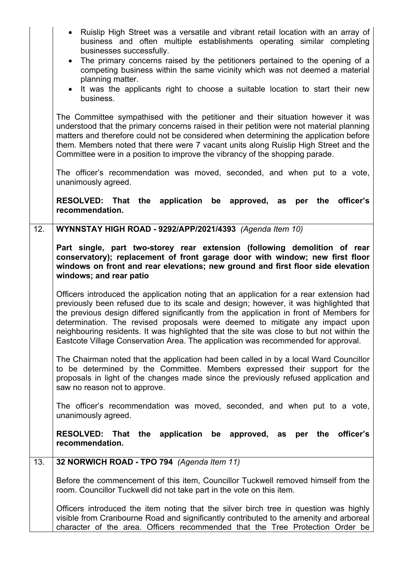|     | • Ruislip High Street was a versatile and vibrant retail location with an array of<br>business and often multiple establishments operating similar completing<br>businesses successfully.<br>• The primary concerns raised by the petitioners pertained to the opening of a<br>competing business within the same vicinity which was not deemed a material<br>planning matter.<br>• It was the applicants right to choose a suitable location to start their new<br>business.                                                                |
|-----|----------------------------------------------------------------------------------------------------------------------------------------------------------------------------------------------------------------------------------------------------------------------------------------------------------------------------------------------------------------------------------------------------------------------------------------------------------------------------------------------------------------------------------------------|
|     | The Committee sympathised with the petitioner and their situation however it was<br>understood that the primary concerns raised in their petition were not material planning<br>matters and therefore could not be considered when determining the application before<br>them. Members noted that there were 7 vacant units along Ruislip High Street and the<br>Committee were in a position to improve the vibrancy of the shopping parade.                                                                                                |
|     | The officer's recommendation was moved, seconded, and when put to a vote,<br>unanimously agreed.                                                                                                                                                                                                                                                                                                                                                                                                                                             |
|     | RESOLVED: That the application<br>be approved, as per the<br>officer's<br>recommendation.                                                                                                                                                                                                                                                                                                                                                                                                                                                    |
| 12. | WYNNSTAY HIGH ROAD - 9292/APP/2021/4393 (Agenda Item 10)                                                                                                                                                                                                                                                                                                                                                                                                                                                                                     |
|     | Part single, part two-storey rear extension (following demolition of rear<br>conservatory); replacement of front garage door with window; new first floor<br>windows on front and rear elevations; new ground and first floor side elevation<br>windows; and rear patio                                                                                                                                                                                                                                                                      |
|     | Officers introduced the application noting that an application for a rear extension had<br>previously been refused due to its scale and design; however, it was highlighted that<br>the previous design differed significantly from the application in front of Members for<br>determination. The revised proposals were deemed to mitigate any impact upon<br>neighbouring residents. It was highlighted that the site was close to but not within the<br>Eastcote Village Conservation Area. The application was recommended for approval. |
|     | The Chairman noted that the application had been called in by a local Ward Councillor<br>to be determined by the Committee. Members expressed their support for the<br>proposals in light of the changes made since the previously refused application and<br>saw no reason not to approve.                                                                                                                                                                                                                                                  |
|     | The officer's recommendation was moved, seconded, and when put to a vote,<br>unanimously agreed.                                                                                                                                                                                                                                                                                                                                                                                                                                             |
|     | <b>RESOLVED:</b><br>the application be approved, as per the<br>officer's<br><b>That</b><br>recommendation.                                                                                                                                                                                                                                                                                                                                                                                                                                   |
| 13. | 32 NORWICH ROAD - TPO 794 (Agenda Item 11)                                                                                                                                                                                                                                                                                                                                                                                                                                                                                                   |
|     | Before the commencement of this item, Councillor Tuckwell removed himself from the<br>room. Councillor Tuckwell did not take part in the vote on this item.                                                                                                                                                                                                                                                                                                                                                                                  |
|     | Officers introduced the item noting that the silver birch tree in question was highly<br>visible from Cranbourne Road and significantly contributed to the amenity and arboreal<br>character of the area. Officers recommended that the Tree Protection Order be                                                                                                                                                                                                                                                                             |